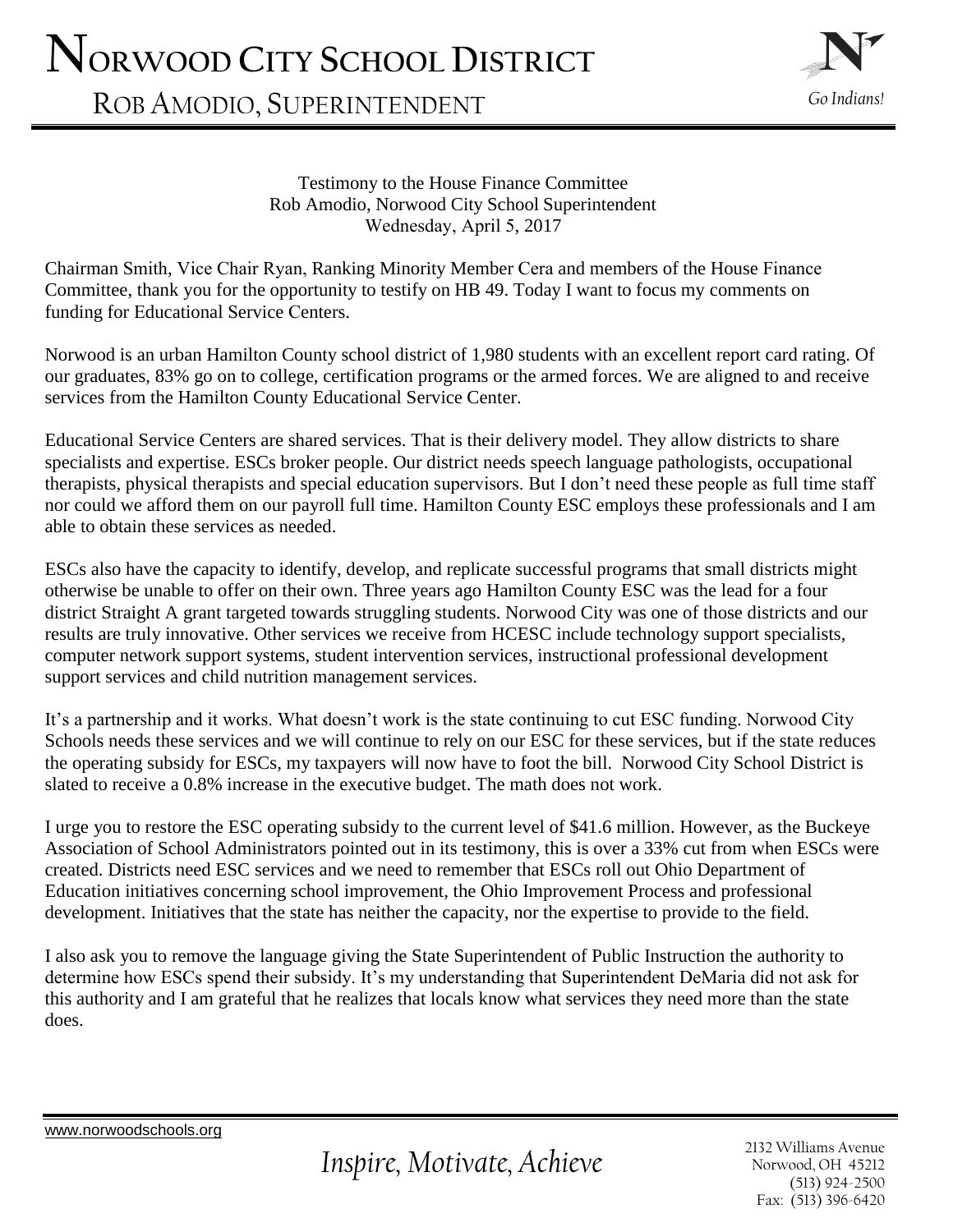## **NORWOOD CITY SCHOOL DISTRICT**

ROB AMODIO, SUPERINTENDENT



Testimony to the House Finance Committee Rob Amodio, Norwood City School Superintendent Wednesday, April 5, 2017

Chairman Smith, Vice Chair Ryan, Ranking Minority Member Cera and members of the House Finance Committee, thank you for the opportunity to testify on HB 49. Today I want to focus my comments on funding for Educational Service Centers.

Norwood is an urban Hamilton County school district of 1,980 students with an excellent report card rating. Of our graduates, 83% go on to college, certification programs or the armed forces. We are aligned to and receive services from the Hamilton County Educational Service Center.

Educational Service Centers are shared services. That is their delivery model. They allow districts to share specialists and expertise. ESCs broker people. Our district needs speech language pathologists, occupational therapists, physical therapists and special education supervisors. But I don't need these people as full time staff nor could we afford them on our payroll full time. Hamilton County ESC employs these professionals and I am able to obtain these services as needed.

ESCs also have the capacity to identify, develop, and replicate successful programs that small districts might otherwise be unable to offer on their own. Three years ago Hamilton County ESC was the lead for a four district Straight A grant targeted towards struggling students. Norwood City was one of those districts and our results are truly innovative. Other services we receive from HCESC include technology support specialists, computer network support systems, student intervention services, instructional professional development support services and child nutrition management services.

It's a partnership and it works. What doesn't work is the state continuing to cut ESC funding. Norwood City Schools needs these services and we will continue to rely on our ESC for these services, but if the state reduces the operating subsidy for ESCs, my taxpayers will now have to foot the bill. Norwood City School District is slated to receive a 0.8% increase in the executive budget. The math does not work.

I urge you to restore the ESC operating subsidy to the current level of \$41.6 million. However, as the Buckeye Association of School Administrators pointed out in its testimony, this is over a 33% cut from when ESCs were created. Districts need ESC services and we need to remember that ESCs roll out Ohio Department of Education initiatives concerning school improvement, the Ohio Improvement Process and professional development. Initiatives that the state has neither the capacity, nor the expertise to provide to the field.

I also ask you to remove the language giving the State Superintendent of Public Instruction the authority to determine how ESCs spend their subsidy. It's my understanding that Superintendent DeMaria did not ask for this authority and I am grateful that he realizes that locals know what services they need more than the state does.

[www.norwoodschools.org](http://www.norwoodschools.org/) 

2132 Williams Avenue Norwood, OH 45212 (513) 924-2500 Fax: (513) 396-6420